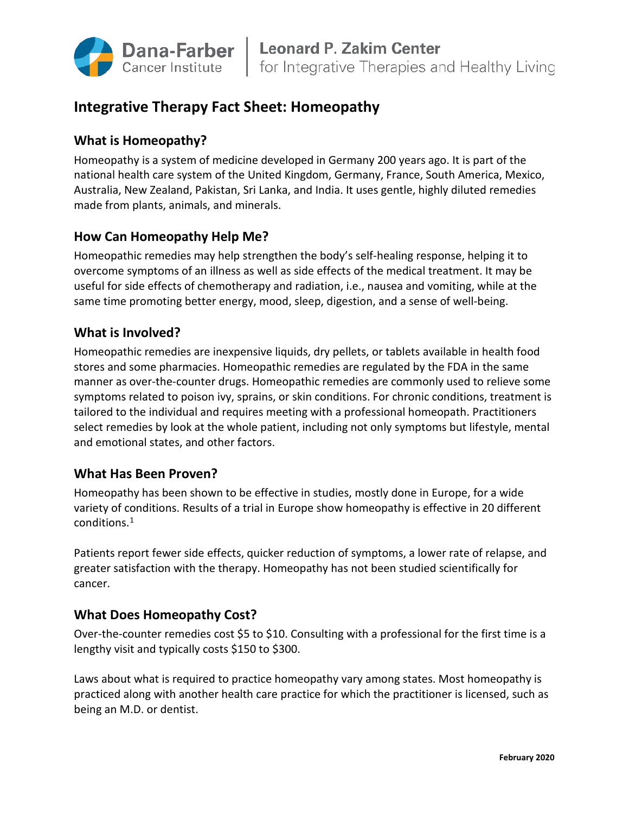

# **Integrative Therapy Fact Sheet: Homeopathy**

## **What is Homeopathy?**

Homeopathy is a system of medicine developed in Germany 200 years ago. It is part of the national health care system of the United Kingdom, Germany, France, South America, Mexico, Australia, New Zealand, Pakistan, Sri Lanka, and India. It uses gentle, highly diluted remedies made from plants, animals, and minerals.

#### **How Can Homeopathy Help Me?**

Homeopathic remedies may help strengthen the body's self-healing response, helping it to overcome symptoms of an illness as well as side effects of the medical treatment. It may be useful for side effects of chemotherapy and radiation, i.e., nausea and vomiting, while at the same time promoting better energy, mood, sleep, digestion, and a sense of well-being.

#### **What is Involved?**

Homeopathic remedies are inexpensive liquids, dry pellets, or tablets available in health food stores and some pharmacies. Homeopathic remedies are regulated by the FDA in the same manner as over-the-counter drugs. Homeopathic remedies are commonly used to relieve some symptoms related to poison ivy, sprains, or skin conditions. For chronic conditions, treatment is tailored to the individual and requires meeting with a professional homeopath. Practitioners select remedies by look at the whole patient, including not only symptoms but lifestyle, mental and emotional states, and other factors.

#### **What Has Been Proven?**

Homeopathy has been shown to be effective in studies, mostly done in Europe, for a wide variety of conditions. Results of a trial in Europe show homeopathy is effective in 20 different conditions[.1](#page-1-0)

Patients report fewer side effects, quicker reduction of symptoms, a lower rate of relapse, and greater satisfaction with the therapy. Homeopathy has not been studied scientifically for cancer.

#### **What Does Homeopathy Cost?**

Over-the-counter remedies cost \$5 to \$10. Consulting with a professional for the first time is a lengthy visit and typically costs \$150 to \$300.

Laws about what is required to practice homeopathy vary among states. Most homeopathy is practiced along with another health care practice for which the practitioner is licensed, such as being an M.D. or dentist.